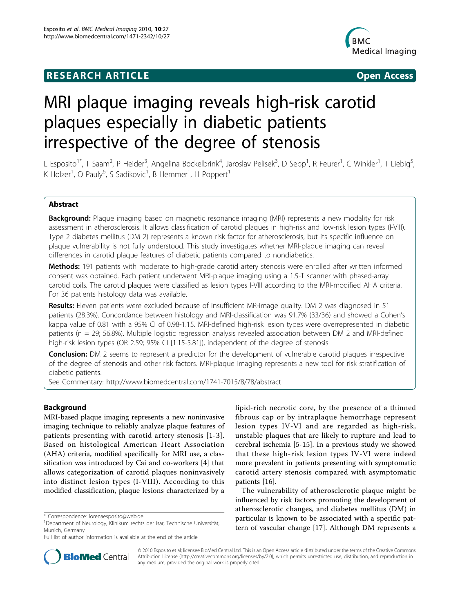# **RESEARCH ARTICLE Example 2018 CONSIDERING ACCESS**



# MRI plaque imaging reveals high-risk carotid plaques especially in diabetic patients irrespective of the degree of stenosis

L Esposito<sup>1\*</sup>, T Saam<sup>2</sup>, P Heider<sup>3</sup>, Angelina Bockelbrink<sup>4</sup>, Jaroslav Pelisek<sup>3</sup>, D Sepp<sup>1</sup>, R Feurer<sup>1</sup>, C Winkler<sup>1</sup>, T Liebig<sup>5</sup> , K Holzer<sup>1</sup>, O Pauly<sup>6</sup>, S Sadikovic<sup>1</sup>, B Hemmer<sup>1</sup>, H Poppert<sup>1</sup>

# Abstract

**Background:** Plaque imaging based on magnetic resonance imaging (MRI) represents a new modality for risk assessment in atherosclerosis. It allows classification of carotid plaques in high-risk and low-risk lesion types (I-VIII). Type 2 diabetes mellitus (DM 2) represents a known risk factor for atherosclerosis, but its specific influence on plaque vulnerability is not fully understood. This study investigates whether MRI-plaque imaging can reveal differences in carotid plaque features of diabetic patients compared to nondiabetics.

Methods: 191 patients with moderate to high-grade carotid artery stenosis were enrolled after written informed consent was obtained. Each patient underwent MRI-plaque imaging using a 1.5-T scanner with phased-array carotid coils. The carotid plaques were classified as lesion types I-VIII according to the MRI-modified AHA criteria. For 36 patients histology data was available.

Results: Eleven patients were excluded because of insufficient MR-image quality. DM 2 was diagnosed in 51 patients (28.3%). Concordance between histology and MRI-classification was 91.7% (33/36) and showed a Cohen's kappa value of 0.81 with a 95% CI of 0.98-1.15. MRI-defined high-risk lesion types were overrepresented in diabetic patients (n = 29; 56.8%). Multiple logistic regression analysis revealed association between DM 2 and MRI-defined high-risk lesion types (OR 2.59; 95% CI [1.15-5.81]), independent of the degree of stenosis.

**Conclusion:** DM 2 seems to represent a predictor for the development of vulnerable carotid plaques irrespective of the degree of stenosis and other risk factors. MRI-plaque imaging represents a new tool for risk stratification of diabetic patients.

See Commentary:<http://www.biomedcentral.com/1741-7015/8/78/abstract>

# Background

MRI-based plaque imaging represents a new noninvasive imaging technique to reliably analyze plaque features of patients presenting with carotid artery stenosis [[1-3\]](#page-8-0). Based on histological American Heart Association (AHA) criteria, modified specifically for MRI use, a classification was introduced by Cai and co-workers [\[4\]](#page-8-0) that allows categorization of carotid plaques noninvasively into distinct lesion types (I-VIII). According to this modified classification, plaque lesions characterized by a

lipid-rich necrotic core, by the presence of a thinned fibrous cap or by intraplaque hemorrhage represent lesion types IV-VI and are regarded as high-risk, unstable plaques that are likely to rupture and lead to cerebral ischemia [\[5-15](#page-8-0)]. In a previous study we showed that these high-risk lesion types IV-VI were indeed more prevalent in patients presenting with symptomatic carotid artery stenosis compared with asymptomatic patients [\[16\]](#page-8-0).

The vulnerability of atherosclerotic plaque might be influenced by risk factors promoting the development of atherosclerotic changes, and diabetes mellitus (DM) in particular is known to be associated with a specific pattern of vascular change [\[17](#page-8-0)]. Although DM represents a



© 2010 Esposito et al; licensee BioMed Central Ltd. This is an Open Access article distributed under the terms of the Creative Commons Attribution License [\(http://creativecommons.org/licenses/by/2.0](http://creativecommons.org/licenses/by/2.0)), which permits unrestricted use, distribution, and reproduction in any medium, provided the original work is properly cited.

<sup>\*</sup> Correspondence: [lorenaesposito@web.de](mailto:lorenaesposito@web.de)

<sup>&</sup>lt;sup>1</sup>Department of Neurology, Klinikum rechts der Isar, Technische Universität, Munich, Germany

Full list of author information is available at the end of the article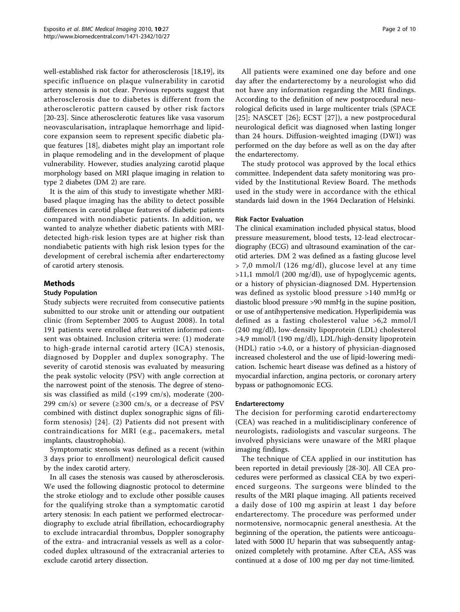well-established risk factor for atherosclerosis [[18,19](#page-8-0)], its specific influence on plaque vulnerability in carotid artery stenosis is not clear. Previous reports suggest that atherosclerosis due to diabetes is different from the atherosclerotic pattern caused by other risk factors [[20](#page-8-0)[-23](#page-9-0)]. Since atherosclerotic features like vasa vasorum neovascularisation, intraplaque hemorrhage and lipidcore expansion seem to represent specific diabetic plaque features [[18\]](#page-8-0), diabetes might play an important role in plaque remodeling and in the development of plaque vulnerability. However, studies analyzing carotid plaque morphology based on MRI plaque imaging in relation to type 2 diabetes (DM 2) are rare.

It is the aim of this study to investigate whether MRIbased plaque imaging has the ability to detect possible differences in carotid plaque features of diabetic patients compared with nondiabetic patients. In addition, we wanted to analyze whether diabetic patients with MRIdetected high-risk lesion types are at higher risk than nondiabetic patients with high risk lesion types for the development of cerebral ischemia after endarterectomy of carotid artery stenosis.

# Methods

## Study Population

Study subjects were recruited from consecutive patients submitted to our stroke unit or attending our outpatient clinic (from September 2005 to August 2008). In total 191 patients were enrolled after written informed consent was obtained. Inclusion criteria were: (1) moderate to high-grade internal carotid artery (ICA) stenosis, diagnosed by Doppler and duplex sonography. The severity of carotid stenosis was evaluated by measuring the peak systolic velocity (PSV) with angle correction at the narrowest point of the stenosis. The degree of stenosis was classified as mild (<199 cm/s), moderate (200- 299 cm/s) or severe  $(\geq 300 \text{ cm/s}, \text{ or a decrease of PSV})$ combined with distinct duplex sonographic signs of filiform stenosis) [[24\]](#page-9-0). (2) Patients did not present with contraindications for MRI (e.g., pacemakers, metal implants, claustrophobia).

Symptomatic stenosis was defined as a recent (within 3 days prior to enrollment) neurological deficit caused by the index carotid artery.

In all cases the stenosis was caused by atherosclerosis. We used the following diagnostic protocol to determine the stroke etiology and to exclude other possible causes for the qualifying stroke than a symptomatic carotid artery stenosis: In each patient we performed electrocardiography to exclude atrial fibrillation, echocardiography to exclude intracardial thrombus, Doppler sonography of the extra- and intracranial vessels as well as a colorcoded duplex ultrasound of the extracranial arteries to exclude carotid artery dissection.

All patients were examined one day before and one day after the endarterectomy by a neurologist who did not have any information regarding the MRI findings. According to the definition of new postprocedural neurological deficits used in large multicenter trials (SPACE [[25](#page-9-0)]; NASCET  $[26]$  $[26]$ ; ECST  $[27]$  $[27]$ ), a new postprocedural neurological deficit was diagnosed when lasting longer than 24 hours. Diffusion-weighted imaging (DWI) was performed on the day before as well as on the day after the endarterectomy.

The study protocol was approved by the local ethics committee. Independent data safety monitoring was provided by the Institutional Review Board. The methods used in the study were in accordance with the ethical standards laid down in the 1964 Declaration of Helsinki.

## Risk Factor Evaluation

The clinical examination included physical status, blood pressure measurement, blood tests, 12-lead electrocardiography (ECG) and ultrasound examination of the carotid arteries. DM 2 was defined as a fasting glucose level > 7,0 mmol/l (126 mg/dl), glucose level at any time >11,1 mmol/l (200 mg/dl), use of hypoglycemic agents, or a history of physician-diagnosed DM. Hypertension was defined as systolic blood pressure >140 mmHg or diastolic blood pressure >90 mmHg in the supine position, or use of antihypertensive medication. Hyperlipidemia was defined as a fasting cholesterol value >6,2 mmol/l (240 mg/dl), low-density lipoprotein (LDL) cholesterol >4,9 mmol/l (190 mg/dl), LDL/high-density lipoprotein (HDL) ratio >4.0, or a history of physician-diagnosed increased cholesterol and the use of lipid-lowering medication. Ischemic heart disease was defined as a history of myocardial infarction, angina pectoris, or coronary artery bypass or pathognomonic ECG.

# Endarterectomy

The decision for performing carotid endarterectomy (CEA) was reached in a mulitidisciplinary conference of neurologists, radiologists and vascular surgeons. The involved physicians were unaware of the MRI plaque imaging findings.

The technique of CEA applied in our institution has been reported in detail previously [\[28-30](#page-9-0)]. All CEA procedures were performed as classical CEA by two experienced surgeons. The surgeons were blinded to the results of the MRI plaque imaging. All patients received a daily dose of 100 mg aspirin at least 1 day before endarterectomy. The procedure was performed under normotensive, normocapnic general anesthesia. At the beginning of the operation, the patients were anticoagulated with 5000 IU heparin that was subsequently antagonized completely with protamine. After CEA, ASS was continued at a dose of 100 mg per day not time-limited.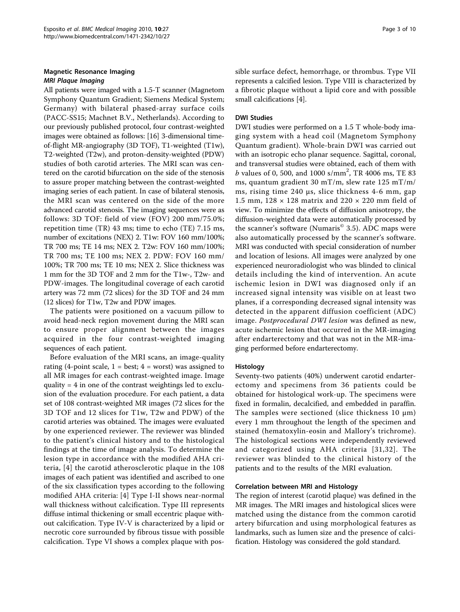# Magnetic Resonance Imaging

All patients were imaged with a 1.5-T scanner (Magnetom Symphony Quantum Gradient; Siemens Medical System; Germany) with bilateral phased-array surface coils (PACC-SS15; Machnet B.V., Netherlands). According to our previously published protocol, four contrast-weighted images were obtained as follows: [[16](#page-8-0)] 3-dimensional timeof-flight MR-angiography (3D TOF), T1-weighted (T1w), T2-weighted (T2w), and proton-density-weighted (PDW) studies of both carotid arteries. The MRI scan was centered on the carotid bifurcation on the side of the stenosis to assure proper matching between the contrast-weighted imaging series of each patient. In case of bilateral stenosis, the MRI scan was centered on the side of the more advanced carotid stenosis. The imaging sequences were as follows: 3D TOF: field of view (FOV) 200 mm/75.0%; repetition time (TR) 43 ms; time to echo (TE) 7.15 ms, number of excitations (NEX) 2. T1w: FOV 160 mm/100%; TR 700 ms; TE 14 ms; NEX 2. T2w: FOV 160 mm/100%; TR 700 ms; TE 100 ms; NEX 2. PDW: FOV 160 mm/ 100%; TR 700 ms; TE 10 ms; NEX 2. Slice thickness was 1 mm for the 3D TOF and 2 mm for the T1w-, T2w- and PDW-images. The longitudinal coverage of each carotid artery was 72 mm (72 slices) for the 3D TOF and 24 mm (12 slices) for T1w, T2w and PDW images.

The patients were positioned on a vacuum pillow to avoid head-neck region movement during the MRI scan to ensure proper alignment between the images acquired in the four contrast-weighted imaging sequences of each patient.

Before evaluation of the MRI scans, an image-quality rating (4-point scale,  $1 = \text{best}$ ;  $4 = \text{worst}$ ) was assigned to all MR images for each contrast-weighted image. Image quality  $= 4$  in one of the contrast weightings led to exclusion of the evaluation procedure. For each patient, a data set of 108 contrast-weighted MR images (72 slices for the 3D TOF and 12 slices for T1w, T2w and PDW) of the carotid arteries was obtained. The images were evaluated by one experienced reviewer. The reviewer was blinded to the patient's clinical history and to the histological findings at the time of image analysis. To determine the lesion type in accordance with the modified AHA criteria, [[4\]](#page-8-0) the carotid atherosclerotic plaque in the 108 images of each patient was identified and ascribed to one of the six classification types according to the following modified AHA criteria: [[4\]](#page-8-0) Type I-II shows near-normal wall thickness without calcification. Type III represents diffuse intimal thickening or small eccentric plaque without calcification. Type IV-V is characterized by a lipid or necrotic core surrounded by fibrous tissue with possible calcification. Type VI shows a complex plaque with possible surface defect, hemorrhage, or thrombus. Type VII represents a calcified lesion. Type VIII is characterized by a fibrotic plaque without a lipid core and with possible small calcifications [[4\]](#page-8-0).

# DWI Studies

DWI studies were performed on a 1.5 T whole-body imaging system with a head coil (Magnetom Symphony Quantum gradient). Whole-brain DWI was carried out with an isotropic echo planar sequence. Sagittal, coronal, and transversal studies were obtained, each of them with  $b$  values of 0, 500, and 1000 s/mm<sup>2</sup>, TR 4006 ms, TE 83 ms, quantum gradient 30 mT/m, slew rate 125 mT/m/ ms, rising time 240 μs, slice thickness 4-6 mm, gap 1.5 mm,  $128 \times 128$  matrix and  $220 \times 220$  mm field of view. To minimize the effects of diffusion anisotropy, the diffusion-weighted data were automatically processed by the scanner's software (Numaris $^{\circ}$  3.5). ADC maps were also automatically processed by the scanner's software. MRI was conducted with special consideration of number and location of lesions. All images were analyzed by one experienced neuroradiologist who was blinded to clinical details including the kind of intervention. An acute ischemic lesion in DWI was diagnosed only if an increased signal intensity was visible on at least two planes, if a corresponding decreased signal intensity was detected in the apparent diffusion coefficient (ADC) image. Postprocedural DWI lesion was defined as new, acute ischemic lesion that occurred in the MR-imaging after endarterectomy and that was not in the MR-imaging performed before endarterectomy.

### Histology

Seventy-two patients (40%) underwent carotid endarterectomy and specimens from 36 patients could be obtained for histological work-up. The specimens were fixed in formalin, decalcified, and embedded in paraffin. The samples were sectioned (slice thickness  $10 \mu m$ ) every 1 mm throughout the length of the specimen and stained (hematoxylin-eosin and Mallory's trichrome). The histological sections were independently reviewed and categorized using AHA criteria [[31,32](#page-9-0)]. The reviewer was blinded to the clinical history of the patients and to the results of the MRI evaluation.

# Correlation between MRI and Histology

The region of interest (carotid plaque) was defined in the MR images. The MRI images and histological slices were matched using the distance from the common carotid artery bifurcation and using morphological features as landmarks, such as lumen size and the presence of calcification. Histology was considered the gold standard.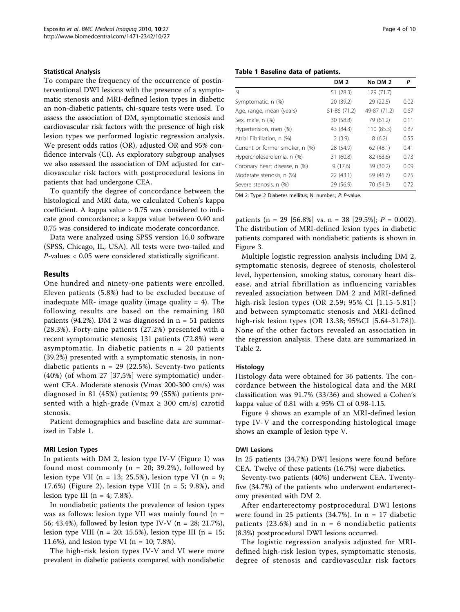### Statistical Analysis

To compare the frequency of the occurrence of postinterventional DWI lesions with the presence of a symptomatic stenosis and MRI-defined lesion types in diabetic an non-diabetic patients, chi-square tests were used. To assess the association of DM, symptomatic stenosis and cardiovascular risk factors with the presence of high risk lesion types we performed logistic regression analysis. We present odds ratios (OR), adjusted OR and 95% confidence intervals (CI). As exploratory subgroup analyses we also assessed the association of DM adjusted for cardiovascular risk factors with postprocedural lesions in patients that had undergone CEA.

To quantify the degree of concordance between the histological and MRI data, we calculated Cohen's kappa coefficient. A kappa value > 0.75 was considered to indicate good concordance; a kappa value between 0.40 and 0.75 was considered to indicate moderate concordance.

Data were analyzed using SPSS version 16.0 software (SPSS, Chicago, IL, USA). All tests were two-tailed and P-values < 0.05 were considered statistically significant.

### Results

One hundred and ninety-one patients were enrolled. Eleven patients (5.8%) had to be excluded because of inadequate MR- image quality (image quality  $= 4$ ). The following results are based on the remaining 180 patients (94.2%). DM 2 was diagnosed in  $n = 51$  patients (28.3%). Forty-nine patients (27.2%) presented with a recent symptomatic stenosis; 131 patients (72.8%) were asymptomatic. In diabetic patients  $n = 20$  patients (39.2%) presented with a symptomatic stenosis, in nondiabetic patients  $n = 29$  (22.5%). Seventy-two patients (40%) (of whom 27 [37,5%] were symptomatic) underwent CEA. Moderate stenosis (Vmax 200-300 cm/s) was diagnosed in 81 (45%) patients; 99 (55%) patients presented with a high-grade (Vmax  $\geq$  300 cm/s) carotid stenosis.

Patient demographics and baseline data are summarized in Table 1.

### MRI Lesion Types

In patients with DM 2, lesion type IV-V (Figure [1\)](#page-4-0) was found most commonly ( $n = 20$ ; 39.2%), followed by lesion type VII ( $n = 13$ ; 25.5%), lesion type VI ( $n = 9$ ; 17.6%) (Figure [2](#page-5-0)), lesion type VIII ( $n = 5$ ; 9.8%), and lesion type III ( $n = 4$ ; 7.8%).

In nondiabetic patients the prevalence of lesion types was as follows: lesion type VII was mainly found  $(n =$ 56; 43.4%), followed by lesion type IV-V (n = 28; 21.7%), lesion type VIII ( $n = 20$ ; 15.5%), lesion type III ( $n = 15$ ; 11.6%), and lesion type VI ( $n = 10$ ; 7.8%).

The high-risk lesion types IV-V and VI were more prevalent in diabetic patients compared with nondiabetic

| Table 1 Baseline data of patients. |                 |              |      |  |  |
|------------------------------------|-----------------|--------------|------|--|--|
|                                    | DM <sub>2</sub> | No DM 2      | P    |  |  |
| Ν                                  | 51(28.3)        | 129 (71.7)   |      |  |  |
| Symptomatic, n (%)                 | 20 (39.2)       | 29 (22.5)    | 0.02 |  |  |
| Age, range, mean (years)           | 51-86 (71.2)    | 49-87 (71.2) | 0.67 |  |  |
| Sex, male, n (%)                   | 30 (58.8)       | 79 (61.2)    | 0.11 |  |  |
| Hypertension, men (%)              | 43 (84.3)       | 110 (85.3)   | 0.87 |  |  |
| Atrial Fibrillation, n (%)         | 2(3.9)          | 8(6.2)       | 0.55 |  |  |
| Current or former smoker, n (%)    | 28 (54.9)       | 62 (48.1)    | 0.41 |  |  |
| Hypercholeserolemia, n (%)         | 31 (60.8)       | 82 (63.6)    | 0.73 |  |  |
| Coronary heart disease, n (%)      | 9(17.6)         | 39 (30.2)    | 0.09 |  |  |
| Moderate stenosis, n (%)           | 22 (43.1)       | 59 (45.7)    | 0.75 |  |  |
| Severe stenosis, n (%)             | 29 (56.9)       | 70 (54.3)    | 0.72 |  |  |

DM 2: Type 2 Diabetes mellitus; N: number.; P: P-value.

patients (n = 29 [56.8%] vs. n = 38 [29.5%];  $P = 0.002$ ). The distribution of MRI-defined lesion types in diabetic patients compared with nondiabetic patients is shown in Figure [3](#page-6-0).

Multiple logistic regression analysis including DM 2, symptomatic stenosis, degreee of stenosis, cholesterol level, hypertension, smoking status, coronary heart disease, and atrial fibrillation as influencing variables revealed association between DM 2 and MRI-defined high-risk lesion types (OR 2.59; 95% CI [1.15-5.81]) and between symptomatic stenosis and MRI-defined high-risk lesion types (OR 13.38; 95%CI [5.64-31.78]). None of the other factors revealed an association in the regression analysis. These data are summarized in Table [2](#page-6-0).

### Histology

Histology data were obtained for 36 patients. The concordance between the histological data and the MRI classification was 91.7% (33/36) and showed a Cohen's kappa value of 0.81 with a 95% CI of 0.98-1.15.

Figure [4](#page-7-0) shows an example of an MRI-defined lesion type IV-V and the corresponding histological image shows an example of lesion type V.

### DWI Lesions

In 25 patients (34.7%) DWI lesions were found before CEA. Twelve of these patients (16.7%) were diabetics.

Seventy-two patients (40%) underwent CEA. Twentyfive (34.7%) of the patients who underwent endarterectomy presented with DM 2.

After endarterectomy postprocedural DWI lesions were found in 25 patients (34.7%). In  $n = 17$  diabetic patients (23.6%) and in  $n = 6$  nondiabetic patients (8.3%) postprocedural DWI lesions occurred.

The logistic regression analysis adjusted for MRIdefined high-risk lesion types, symptomatic stenosis, degree of stenosis and cardiovascular risk factors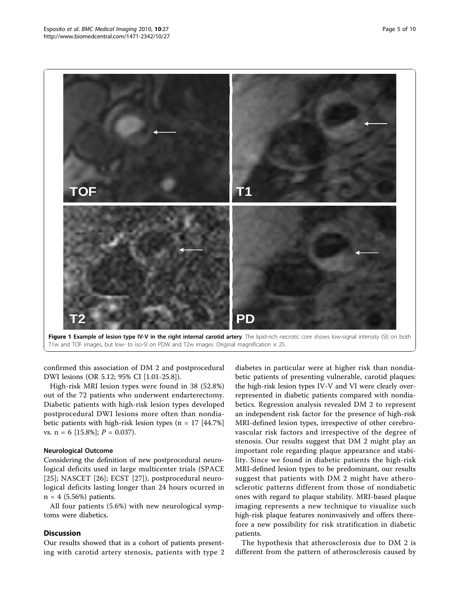<span id="page-4-0"></span>



confirmed this association of DM 2 and postprocedural DWI lesions (OR 5.12; 95% CI [1.01-25.8]).

High-risk MRI lesion types were found in 38 (52.8%) out of the 72 patients who underwent endarterectomy. Diabetic patients with high-risk lesion types developed postprocedural DWI lesions more often than nondiabetic patients with high-risk lesion types ( $n = 17$  [44.7%] vs.  $n = 6$  [15.8%];  $P = 0.037$ ).

# Neurological Outcome

Considering the definition of new postprocedural neurological deficits used in large multicenter trials (SPACE [[25](#page-9-0)]; NASCET [\[26](#page-9-0)]; ECST [\[27](#page-9-0)]), postprocedural neurological deficits lasting longer than 24 hours ocurred in  $n = 4$  (5.56%) patients.

All four patients (5.6%) with new neurological symptoms were diabetics.

# Discussion

Our results showed that in a cohort of patients presenting with carotid artery stenosis, patients with type 2

diabetes in particular were at higher risk than nondiabetic patients of presenting vulnerable, carotid plaques: the high-risk lesion types IV-V and VI were clearly overrepresented in diabetic patients compared with nondiabetics. Regression analysis revealed DM 2 to represent an independent risk factor for the presence of high-risk MRI-defined lesion types, irrespective of other cerebrovascular risk factors and irrespective of the degree of stenosis. Our results suggest that DM 2 might play an important role regarding plaque appearance and stability. Since we found in diabetic patients the high-risk MRI-defined lesion types to be predominant, our results suggest that patients with DM 2 might have atherosclerotic patterns different from those of nondiabetic ones with regard to plaque stability. MRI-based plaque imaging represents a new technique to visualize such high-risk plaque features noninvasively and offers therefore a new possibility for risk stratification in diabetic patients.

The hypothesis that atherosclerosis due to DM 2 is different from the pattern of atherosclerosis caused by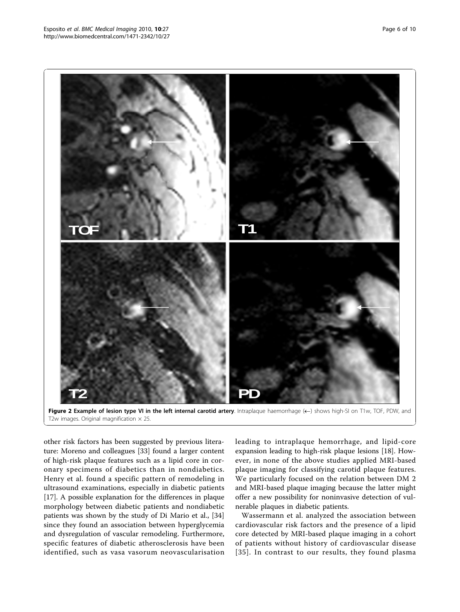<span id="page-5-0"></span>

Figure 2 Example of lesion type VI in the left internal carotid artery. Intraplaque haemorrhage (<-) shows high-SI on T1w, TOF, PDW, and T2w images. Original magnification  $\times$  25.

other risk factors has been suggested by previous literature: Moreno and colleagues [\[33](#page-9-0)] found a larger content of high-risk plaque features such as a lipid core in coronary specimens of diabetics than in nondiabetics. Henry et al. found a specific pattern of remodeling in ultrasound examinations, especially in diabetic patients [[17\]](#page-8-0). A possible explanation for the differences in plaque morphology between diabetic patients and nondiabetic patients was shown by the study of Di Mario et al., [[34](#page-9-0)] since they found an association between hyperglycemia and dysregulation of vascular remodeling. Furthermore, specific features of diabetic atherosclerosis have been identified, such as vasa vasorum neovascularisation leading to intraplaque hemorrhage, and lipid-core expansion leading to high-risk plaque lesions [\[18\]](#page-8-0). However, in none of the above studies applied MRI-based plaque imaging for classifying carotid plaque features. We particularly focused on the relation between DM 2 and MRI-based plaque imaging because the latter might offer a new possibility for noninvasive detection of vulnerable plaques in diabetic patients.

Wassermann et al. analyzed the association between cardiovascular risk factors and the presence of a lipid core detected by MRI-based plaque imaging in a cohort of patients without history of cardiovascular disease [[35](#page-9-0)]. In contrast to our results, they found plasma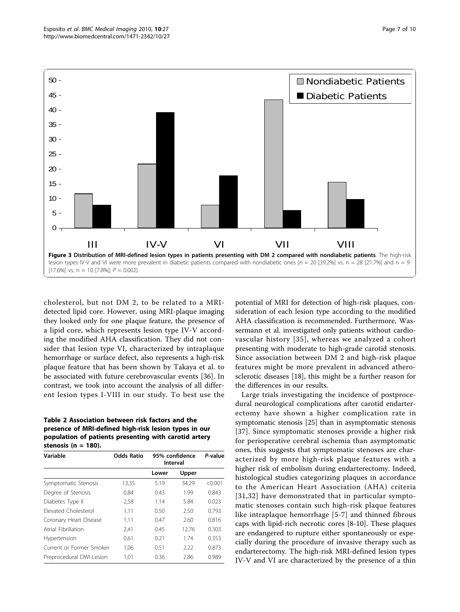<span id="page-6-0"></span>

cholesterol, but not DM 2, to be related to a MRIdetected lipid core. However, using MRI-plaque imaging they looked only for one plaque feature, the presence of a lipid core, which represents lesion type IV-V according the modified AHA classification. They did not consider that lesion type VI, characterized by intraplaque hemorrhage or surface defect, also represents a high-risk plaque feature that has been shown by Takaya et al. to be associated with future cerebrovascular events [\[36](#page-9-0)]. In contrast, we took into account the analysis of all different lesion types I-VIII in our study. To best use the

## Table 2 Association between risk factors and the presence of MRI-defined high-risk lesion types in our population of patients presenting with carotid artery stenosis ( $n = 180$ ).

| Variable                    | <b>Odds Ratio</b> | 95% confidence<br>Interval |       | P-value |
|-----------------------------|-------------------|----------------------------|-------|---------|
|                             |                   | Lower                      | Upper |         |
| Symptomatic Stenosis        | 13,35             | 5.19                       | 34.29 | < 0.001 |
| Degree of Stenosis          | 0,84              | 0.43                       | 1.99  | 0.843   |
| Diabetes Type II            | 2,58              | 1.14                       | 5.84  | 0.023   |
| <b>Flevated Cholesterol</b> | 1.11              | 0.50                       | 2.50  | 0.793   |
| Coronary Heart Disease      | 1,11              | 0.47                       | 2.60  | 0.816   |
| Atrial Fibrillation         | 2,41              | 0.45                       | 12.76 | 0.303   |
| Hypertension                | 0,61              | 0.21                       | 1.74  | 0.353   |
| Current or Former Smoker    | 1.06              | 0.51                       | 2.22  | 0.873   |
| Preprocedural DWI-Lesion    | 1,01              | 0.36                       | 2.86  | 0.989   |

potential of MRI for detection of high-risk plaques, consideration of each lesion type according to the modified AHA classification is recommended. Furthermore, Wassermann et al. investigated only patients without cardiovascular history [[35\]](#page-9-0), whereas we analyzed a cohort presenting with moderate to high-grade carotid stenosis. Since association between DM 2 and high-risk plaque features might be more prevalent in advanced atherosclerotic diseases [[18\]](#page-8-0), this might be a further reason for the differences in our results.

Large trials investigating the incidence of postprocedural neurological complications after carotid endarterectomy have shown a higher complication rate in symptomatic stenosis [\[25](#page-9-0)] than in asymptomatic stenosis [[37](#page-9-0)]. Since symptomatic stenoses provide a higher risk for perioperative cerebral ischemia than asymptomatic ones, this suggests that symptomatic stenoses are characterized by more high-risk plaque features with a higher risk of embolism during endarterectomy. Indeed, histological studies categorizing plaques in accordance to the American Heart Association (AHA) criteria [[31,32](#page-9-0)] have demonstrated that in particular symptomatic stenoses contain such high-risk plaque features like intraplaque hemorrhage [[5](#page-8-0)-[7](#page-8-0)] and thinned fibrous caps with lipid-rich necrotic cores [[8-10](#page-8-0)]. These plaques are endangered to rupture either spontaneously or especially during the procedure of invasive therapy such as endarterectomy. The high-risk MRI-defined lesion types IV-V and VI are characterized by the presence of a thin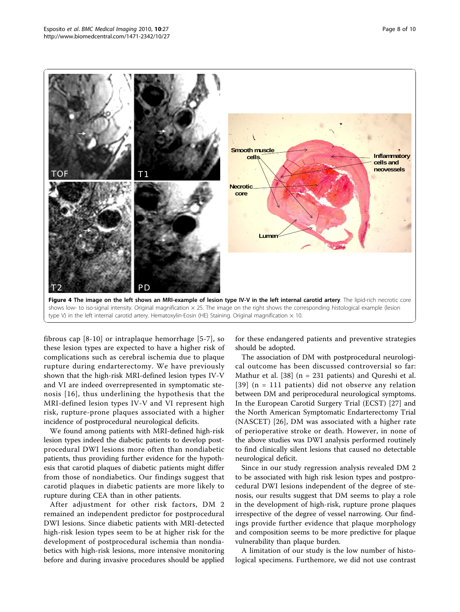<span id="page-7-0"></span>

fibrous cap [[8](#page-8-0)-[10\]](#page-8-0) or intraplaque hemorrhage [[5-7](#page-8-0)], so these lesion types are expected to have a higher risk of complications such as cerebral ischemia due to plaque rupture during endarterectomy. We have previously shown that the high-risk MRI-defined lesion types IV-V and VI are indeed overrepresented in symptomatic stenosis [[16\]](#page-8-0), thus underlining the hypothesis that the MRI-defined lesion types IV-V and VI represent high risk, rupture-prone plaques associated with a higher incidence of postprocedural neurological deficits.

We found among patients with MRI-defined high-risk lesion types indeed the diabetic patients to develop postprocedural DWI lesions more often than nondiabetic patients, thus providing further evidence for the hypothesis that carotid plaques of diabetic patients might differ from those of nondiabetics. Our findings suggest that carotid plaques in diabetic patients are more likely to rupture during CEA than in other patients.

After adjustment for other risk factors, DM 2 remained an independent predictor for postprocedural DWI lesions. Since diabetic patients with MRI-detected high-risk lesion types seem to be at higher risk for the development of postprocedural ischemia than nondiabetics with high-risk lesions, more intensive monitoring before and during invasive procedures should be applied

for these endangered patients and preventive strategies should be adopted.

The association of DM with postprocedural neurological outcome has been discussed controversial so far: Mathur et al. [[38\]](#page-9-0) (n = 231 patients) and Qureshi et al. [[39\]](#page-9-0) (n = 111 patients) did not observe any relation between DM and periprocedural neurological symptoms. In the European Carotid Surgery Trial (ECST) [[27\]](#page-9-0) and the North American Symptomatic Endarterectomy Trial (NASCET) [\[26](#page-9-0)], DM was associated with a higher rate of perioperative stroke or death. However, in none of the above studies was DWI analysis performed routinely to find clinically silent lesions that caused no detectable neurological deficit.

Since in our study regression analysis revealed DM 2 to be associated with high risk lesion types and postprocedural DWI lesions independent of the degree of stenosis, our results suggest that DM seems to play a role in the development of high-risk, rupture prone plaques irrespective of the degree of vessel narrowing. Our findings provide further evidence that plaque morphology and composition seems to be more predictive for plaque vulnerability than plaque burden.

A limitation of our study is the low number of histological specimens. Furthemore, we did not use contrast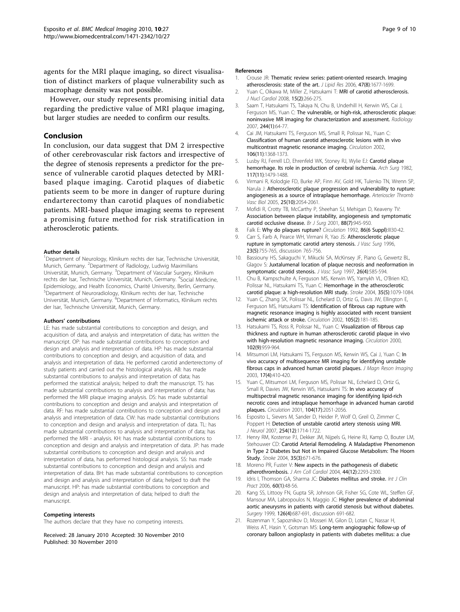<span id="page-8-0"></span>agents for the MRI plaque imaging, so direct visualisation of distinct markers of plaque vulnerability such as macrophage density was not possible.

However, our study represents promising initial data regarding the predictive value of MRI plaque imaging, but larger studies are needed to confirm our results.

# Conclusion

In conclusion, our data suggest that DM 2 irrespective of other cerebrovascular risk factors and irrespective of the degree of stenosis represents a predictor for the presence of vulnerable carotid plaques detected by MRIbased plaque imaging. Carotid plaques of diabetic patients seem to be more in danger of rupture during endarterectomy than carotid plaques of nondiabetic patients. MRI-based plaque imaging seems to represent a promising future method for risk stratification in atherosclerotic patients.

### Author details

<sup>1</sup>Department of Neurology, Klinikum rechts der Isar, Technische Universität, Munich, Germany. <sup>2</sup>Department of Radiology, Ludwig Maximilians Universität, Munich, Germany. <sup>3</sup>Department of Vascular Surgery, Klinikum rechts der Isar, Technische Universität, Munich, Germany. <sup>4</sup> Social Medicine, Epidemiology, and Health Economics, Charité University, Berlin, Germany. <sup>5</sup>Department of Neuroradiology, Klinikum rechts der Isar, Technische Universität, Munich, Germany. <sup>6</sup>Department of Informatics, Klinikum rechts der Isar, Technische Universität, Munich, Germany.

### Authors' contributions

LE: has made substantial contributions to conception and design, and acquisition of data, and analysis and interpretation of data; has written the manuscript. OP: has made substantial contributions to conception and design and analysis and interpretation of data. HP: has made substantial contributions to conception and design, and acquisition of data, and analysis and interpretation of data. He performed carotid anderterectomy of study patients and carried out the histological analysis. AB: has made substantial contributions to analysis and interpretation of data; has performed the statistical analysis; helped to draft the manuscript. TS: has made substantial contributions to analysis and interpretation of data; has performed the MRI plaque imaging analysis. DS: has made substantial contributions to conception and design and analysis and interpretation of data. RF: has made substantial contributions to conception and design and analysis and interpretation of data. CW: has made substantial contributions to conception and design and analysis and interpretation of data. TL: has made substantial contributions to analysis and interpretation of data; has performed the MRI - analysis. KH: has made substantial contributions to conception and design and analysis and interpretation of data. JP: has made substantial contributions to conception and design and analysis and interpretation of data, has performed histological analysis. SS: has made substantial contributions to conception and design and analysis and interpretation of data. BH: has made substantial contributions to conception and design and analysis and interpretation of data; helped to draft the manuscript. HP: has made substantial contributions to conception and design and analysis and interpretation of data; helped to draft the manuscript.

### Competing interests

The authors declare that they have no competing interests.

Received: 28 January 2010 Accepted: 30 November 2010 Published: 30 November 2010

### References

- 1. Crouse JR: [Thematic review series: patient-oriented research. Imaging](http://www.ncbi.nlm.nih.gov/pubmed/16705212?dopt=Abstract) [atherosclerosis: state of the art.](http://www.ncbi.nlm.nih.gov/pubmed/16705212?dopt=Abstract) J Lipid Res 2006, 47(8):1677-1699.
- 2. Yuan C, Oikawa M, Miller Z, Hatsukami T: [MRI of carotid atherosclerosis.](http://www.ncbi.nlm.nih.gov/pubmed/18371599?dopt=Abstract) J Nucl Cardiol 2008, 15(2):266-275.
- 3. Saam T, Hatsukami TS, Takaya N, Chu B, Underhill H, Kerwin WS, Cai J, Ferguson MS, Yuan C: [The vulnerable, or high-risk, atherosclerotic plaque:](http://www.ncbi.nlm.nih.gov/pubmed/17581895?dopt=Abstract) [noninvasive MR imaging for characterization and assessment.](http://www.ncbi.nlm.nih.gov/pubmed/17581895?dopt=Abstract) Radiology 2007, 244(1):64-77.
- 4. Cai JM, Hatsukami TS, Ferguson MS, Small R, Polissar NL, Yuan C: [Classification of human carotid atherosclerotic lesions with in vivo](http://www.ncbi.nlm.nih.gov/pubmed/12221054?dopt=Abstract) [multicontrast magnetic resonance imaging.](http://www.ncbi.nlm.nih.gov/pubmed/12221054?dopt=Abstract) Circulation 2002, 106(11):1368-1373.
- Lusby RJ, Ferrell LD, Ehrenfeld WK, Stoney RJ, Wylie EJ: [Carotid plaque](http://www.ncbi.nlm.nih.gov/pubmed/6182861?dopt=Abstract) [hemorrhage. Its role in production of cerebral ischemia.](http://www.ncbi.nlm.nih.gov/pubmed/6182861?dopt=Abstract) Arch Surg 1982, 117(11):1479-1488.
- 6. Virmani R, Kolodgie FD, Burke AP, Finn AV, Gold HK, Tulenko TN, Wrenn SP, Narula J: [Atherosclerotic plaque progression and vulnerability to rupture:](http://www.ncbi.nlm.nih.gov/pubmed/16037567?dopt=Abstract) [angiogenesis as a source of intraplaque hemorrhage.](http://www.ncbi.nlm.nih.gov/pubmed/16037567?dopt=Abstract) Arterioscler Thromb Vasc Biol 2005, 25(10):2054-2061.
- 7. Mofidi R, Crotty TB, McCarthy P, Sheehan SJ, Mehigan D, Keaveny TV: [Association between plaque instability, angiogenesis and symptomatic](http://www.ncbi.nlm.nih.gov/pubmed/11442525?dopt=Abstract) [carotid occlusive disease.](http://www.ncbi.nlm.nih.gov/pubmed/11442525?dopt=Abstract) Br J Surg 2001, 88(7):945-950.
- 8. Falk E: [Why do plaques rupture?](http://www.ncbi.nlm.nih.gov/pubmed/1424049?dopt=Abstract) Circulation 1992, 86(6 Suppl):III30-42.
- 9. Carr S, Farb A, Pearce WH, Virmani R, Yao JS: [Atherosclerotic plaque](http://www.ncbi.nlm.nih.gov/pubmed/8667496?dopt=Abstract) [rupture in symptomatic carotid artery stenosis.](http://www.ncbi.nlm.nih.gov/pubmed/8667496?dopt=Abstract) J Vasc Surg 1996, 23(5):755-765, discussion 765-756.
- 10. Bassiouny HS, Sakaguchi Y, Mikucki SA, McKinsey JF, Piano G, Gewertz BL, Glagov S: [Juxtalumenal location of plaque necrosis and neoformation in](http://www.ncbi.nlm.nih.gov/pubmed/9357458?dopt=Abstract) [symptomatic carotid stenosis.](http://www.ncbi.nlm.nih.gov/pubmed/9357458?dopt=Abstract) J Vasc Surg 1997, 26(4):585-594.
- 11. Chu B, Kampschulte A, Ferguson MS, Kerwin WS, Yarnykh VL, O'Brien KD, Polissar NL, Hatsukami TS, Yuan C: [Hemorrhage in the atherosclerotic](http://www.ncbi.nlm.nih.gov/pubmed/15060318?dopt=Abstract) [carotid plaque: a high-resolution MRI study.](http://www.ncbi.nlm.nih.gov/pubmed/15060318?dopt=Abstract) Stroke 2004, 35(5):1079-1084.
- 12. Yuan C, Zhang SX, Polissar NL, Echelard D, Ortiz G, Davis JW, Ellington E, Ferguson MS, Hatsukami TS: [Identification of fibrous cap rupture with](http://www.ncbi.nlm.nih.gov/pubmed/11790698?dopt=Abstract) [magnetic resonance imaging is highly associated with recent transient](http://www.ncbi.nlm.nih.gov/pubmed/11790698?dopt=Abstract) [ischemic attack or stroke.](http://www.ncbi.nlm.nih.gov/pubmed/11790698?dopt=Abstract) Circulation 2002, 105(2):181-185.
- 13. Hatsukami TS, Ross R, Polissar NL, Yuan C: [Visualization of fibrous cap](http://www.ncbi.nlm.nih.gov/pubmed/10961958?dopt=Abstract) [thickness and rupture in human atherosclerotic carotid plaque in vivo](http://www.ncbi.nlm.nih.gov/pubmed/10961958?dopt=Abstract) [with high-resolution magnetic resonance imaging.](http://www.ncbi.nlm.nih.gov/pubmed/10961958?dopt=Abstract) Circulation 2000, 102(9):959-964.
- 14. Mitsumori LM, Hatsukami TS, Ferguson MS, Kerwin WS, Cai J, Yuan C: [In](http://www.ncbi.nlm.nih.gov/pubmed/12655579?dopt=Abstract) [vivo accuracy of multisequence MR imaging for identifying unstable](http://www.ncbi.nlm.nih.gov/pubmed/12655579?dopt=Abstract) [fibrous caps in advanced human carotid plaques.](http://www.ncbi.nlm.nih.gov/pubmed/12655579?dopt=Abstract) J Magn Reson Imaging 2003, 17(4):410-420.
- 15. Yuan C, Mitsumori LM, Ferguson MS, Polissar NL, Echelard D, Ortiz G, Small R, Davies JW, Kerwin WS, Hatsukami TS: [In vivo accuracy of](http://www.ncbi.nlm.nih.gov/pubmed/11673345?dopt=Abstract) [multispectral magnetic resonance imaging for identifying lipid-rich](http://www.ncbi.nlm.nih.gov/pubmed/11673345?dopt=Abstract) [necrotic cores and intraplaque hemorrhage in advanced human carotid](http://www.ncbi.nlm.nih.gov/pubmed/11673345?dopt=Abstract) [plaques.](http://www.ncbi.nlm.nih.gov/pubmed/11673345?dopt=Abstract) Circulation 2001, 104(17):2051-2056.
- 16. Esposito L, Sievers M, Sander D, Heider P, Wolf O, Greil O, Zimmer C, Poppert H: [Detection of unstable carotid artery stenosis using MRI.](http://www.ncbi.nlm.nih.gov/pubmed/17994312?dopt=Abstract) J Neurol 2007, 254(12):1714-1722.
- 17. Henry RM, Kostense PJ, Dekker JM, Nijpels G, Heine RJ, Kamp O, Bouter LM, Stehouwer CD: [Carotid Arterial Remodeling. A Maladaptive Phenomenon](http://www.ncbi.nlm.nih.gov/pubmed/14963290?dopt=Abstract) [in Type 2 Diabetes but Not in Impaired Glucose Metabolism: The Hoorn](http://www.ncbi.nlm.nih.gov/pubmed/14963290?dopt=Abstract) [Study.](http://www.ncbi.nlm.nih.gov/pubmed/14963290?dopt=Abstract) Stroke 2004, 35(3):671-676.
- 18. Moreno PR, Fuster V: [New aspects in the pathogenesis of diabetic](http://www.ncbi.nlm.nih.gov/pubmed/15607389?dopt=Abstract) [atherothrombosis.](http://www.ncbi.nlm.nih.gov/pubmed/15607389?dopt=Abstract) J Am Coll Cardiol 2004, 44(12):2293-2300.
- 19. Idris I, Thomson GA, Sharma JC: [Diabetes mellitus and stroke.](http://www.ncbi.nlm.nih.gov/pubmed/16409428?dopt=Abstract) Int J Clin Pract 2006, 60(1):48-56.
- 20. Kang SS, Littooy FN, Gupta SR, Johnson GR, Fisher SG, Cote WL, Steffen GF, Mansour MA, Labropoulos N, Maggio JC: [Higher prevalence of abdominal](http://www.ncbi.nlm.nih.gov/pubmed/10520916?dopt=Abstract) [aortic aneurysms in patients with carotid stenosis but without diabetes.](http://www.ncbi.nlm.nih.gov/pubmed/10520916?dopt=Abstract) Surgery 1999, 126(4):687-691, discussion 691-682.
- 21. Rozenman Y, Sapoznikov D, Mosseri M, Gilon D, Lotan C, Nassar H, Weiss AT, Hasin Y, Gotsman MS: [Long-term angiographic follow-up of](http://www.ncbi.nlm.nih.gov/pubmed/9362396?dopt=Abstract) [coronary balloon angioplasty in patients with diabetes mellitus: a clue](http://www.ncbi.nlm.nih.gov/pubmed/9362396?dopt=Abstract)